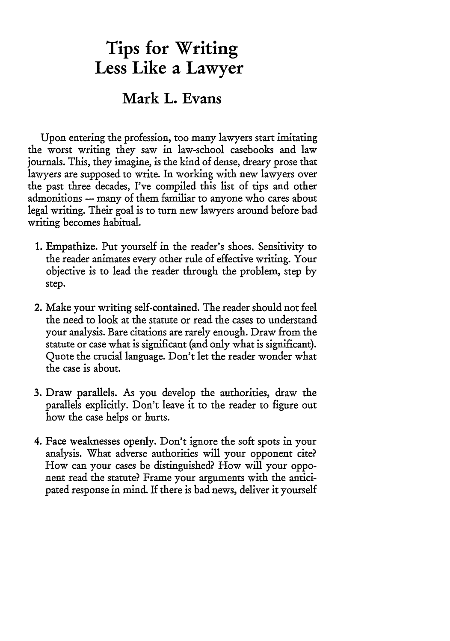## **Tips for Writing Less Like a Lawyer**

## **Mark** L. Evans

Upon entering the profession, too many lawyers start imitating the worst writing they saw in law-school casebooks and law journals. This, they imagine, is the kind of dense, dreary prose that lawyers are supposed to write. In working with new lawyers over the past three decades, I've compiled this list of tips and other admonitions **-** many of them familiar to anyone who cares about legal writing. Their goal is to turn new lawyers around before bad writing becomes habitual.

- 1. Empathize. Put yourself in the reader's shoes. Sensitivity to the reader animates every other rule of effective writing. Your objective is to lead the reader through the problem, step by step.
- 2. Make your writing self-contained. The reader should not feel the need to look at the statute or read the cases to understand your analysis. Bare citations are rarely enough. Draw from the statute or case what is significant (and only what is significant). Quote the crucial language. Don't let the reader wonder what the case is about.
- 3. Draw parallels. As you develop the authorities, draw the parallels explicitly. Don't leave it to the reader to figure out how the case helps or hurts.
- 4. Face weaknesses openly. Don't ignore the soft spots in your analysis. What adverse authorities will your opponent cite? How can your cases be distinguished? How will your opponent read the statute? Frame your arguments with the anticipated response in mind. If there is bad news, deliver it yourself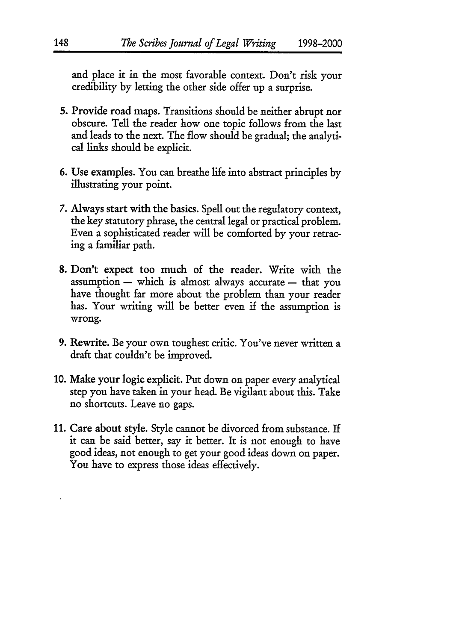and place it in the most favorable context. Don't risk your credibility **by** letting the other side offer up a surprise.

- **5.** Provide road maps. Transitions should be neither abrupt nor obscure. Tell the reader how one topic follows from the last and leads to the next. The flow should be gradual; the analytical links should be explicit.
- 6. Use examples. You can breathe life into abstract principles by illustrating your point.
- 7. Always start with the basics. Spell out the regulatory context, the key statutory phrase, the central legal or practical problem. Even a sophisticated reader will be comforted by your retracing a familiar path.
- 8. Don't expect too much of the reader. Write with the  $assumption - which is almost always accurate - that you$ have thought far more about the problem than your reader has. Your writing will be better even if the assumption is wrong.
- 9. Rewrite. Be your own toughest critic. You've never written a draft that couldn't be improved.
- 10. Make your logic explicit. Put down on paper every analytical step you have taken in your head. Be vigilant about this. Take no shortcuts. Leave no gaps.
- 11. Care about style. Style cannot be divorced from substance. If it can be said better, say it better. It is not enough to have good ideas, not enough to get your good ideas down on paper. You have to express those ideas effectively.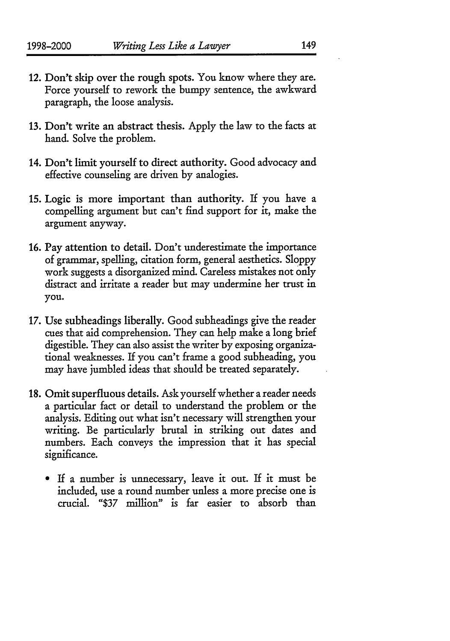- 12. Don't skip over the rough spots. You know where they are. Force yourself to rework the bumpy sentence, the awkward paragraph, the loose analysis.
- **13.** Don't write an abstract thesis. **Apply** the law to the facts at hand. Solve the problem.
- 14. Don't limit yourself to direct authority. Good advocacy and effective counseling are driven **by** analogies.
- **15.** Logic is more important than authority. If you have a compelling argument but can't find support for it, make the argument anyway.
- **16.** Pay attention to detail. Don't underestimate the importance of grammar, spelling, citation form, general aesthetics. **Sloppy** work suggests a disorganized mind. Careless mistakes not only distract and irritate a reader but may undermine her trust in **you.**
- **17.** Use subheadings liberally. Good subheadings give the reader cues that aid comprehension. They can help make a long brief digestible. They can also assist the writer **by** exposing organizational weaknesses. If you can't frame a good subheading, you may have jumbled ideas that should be treated separately.
- **18.** Omit superfluous details. Ask yourself whether a reader needs a particular fact or detail to understand the problem or the analysis. Editing out what isn't necessary will strengthen your writing. Be particularly brutal in striking out dates and numbers. Each conveys the impression that it has special significance.
	- If a number is unnecessary, leave it out. If it must be included, use a round number unless a more precise one is crucial. **1\$37** million" is far easier to absorb than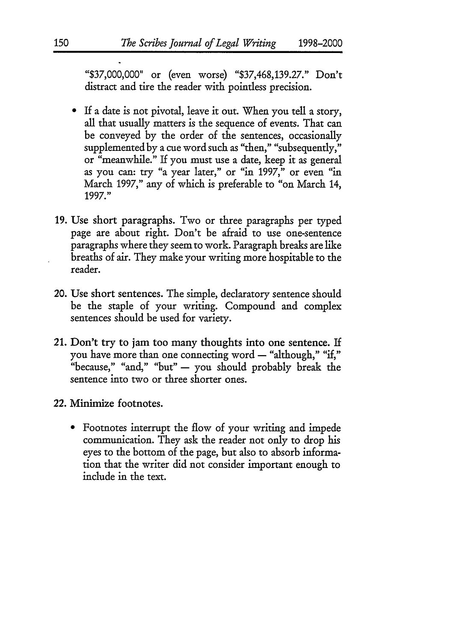"\$37,000,000" or (even worse) "\$37,468,139.27." Don't distract and tire the reader with pointless precision.

- If a date is not pivotal, leave it out. When you tell a story, all that usually matters is the sequence of events. That can be conveyed **by** the order of the sentences, occasionally supplemented by a cue word such as "then," "subsequently," or "meanwhile." If you must use a date, keep it as general as you can: try "a year later," or "in 1997," or even "in March 1997," any of which is preferable to "on March 14, 1997."
- 19. Use short paragraphs. Two or three paragraphs per typed page are about right. Don't be afraid to use one-sentence paragraphs where they seem to work. Paragraph breaks are like breaths of air. They make your writing more hospitable to the reader.
- 20. Use short sentences. The simple, declaratory sentence should be the staple of your writing. Compound and complex sentences should be used for variety.
- 21. Don't try to jam too many thoughts into one sentence. If you have more than one connecting word - "although," "if," "because," "and," "but" - you should probably break the sentence into two or three shorter ones.
- 22. Minimize footnotes.
	- Footnotes interrupt the flow of your writing and impede communication. They ask the reader not only to drop his eyes to the bottom of the page, but also to absorb information that the writer did not consider important enough to include in the text.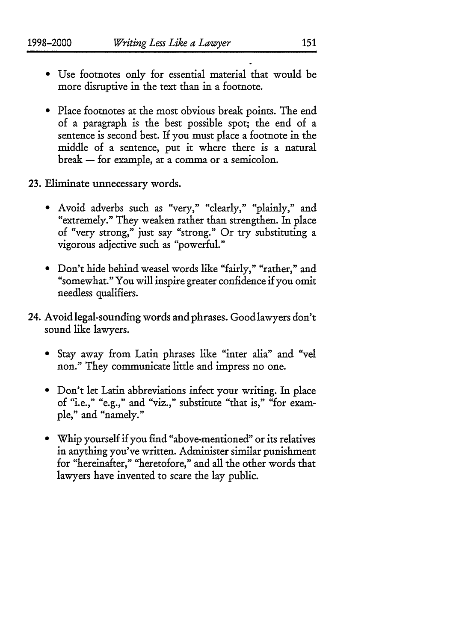- **"** Use footnotes only for essential material that would be more disruptive in the text than in a footnote.
- **"** Place footnotes at the most obvious break points. The end of a paragraph is the best possible spot; the end of a sentence is second best. If you must place a footnote in the middle of a sentence, put it where there is a natural break - for example, at a comma or a semicolon.
- 23. Eliminate unnecessary words.
	- **"** Avoid adverbs such as "very," "clearly," "plainly," and "extremely." They weaken rather than strengthen. In place of "very strong," just say "strong." Or try substituting a vigorous adjective such as "powerful."
	- **"** Don't hide behind weasel words like "fairly," "rather," and "somewhat." You will inspire greater confidence if you omit needless qualifiers.
- 24. Avoid legal-sounding words and phrases. Good lawyers don't sound like lawyers.
	- **"** Stay away from Latin phrases like "inter alia" and "vel non." They communicate little and impress no one.
	- **"** Don't let Latin abbreviations infect your writing. In place of "i.e.," "e.g.," and "viz.," substitute "that is," "for example," and "namely."
	- **"** Whip yourself if you find "above-mentioned" or its relatives in anything you've written. Administer similar punishment for "hereinafter," "heretofore," and all the other words that lawyers have invented to scare the lay public.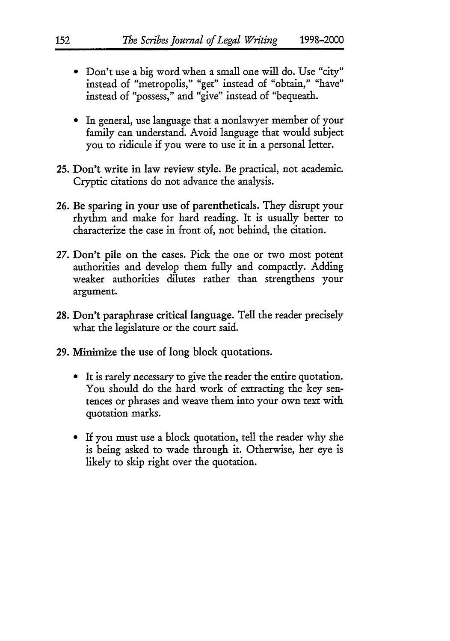- **"** Don't use a big word when a small one will do. Use "city" instead of "metropolis," "get" instead of "obtain," "have" instead of "possess," and "give" instead of "bequeath.
- **"** In general, use language that a nonlawyer member **of** your family can understand. Avoid language that would subject you to ridicule if you were to use it in a personal letter.
- 25. Don't write in law review style. Be practical, not academic. Cryptic citations do not advance the analysis.
- 26. Be sparing in your use of parentheticals. They disrupt your rhythm and make for hard reading. It is usually better to characterize the case in front of, not behind, the citation.
- 27. Don't pile on the cases. Pick the one or two most potent authorities and develop them fully and compactly. Adding weaker authorities dilutes rather than strengthens your argument.
- 28. Don't paraphrase critical language. Tell the reader precisely what the legislature or the court said.
- **29.** Minimize the use of long block quotations.
	- **"** It is rarely necessary to give the reader the entire quotation. You should do the hard work of extracting the key sentences or phrases and weave them into your own text with quotation marks.
	- **"** If you must use a block quotation, tell the reader why she is being asked to wade through it. Otherwise, her eye is likely to skip right over the quotation.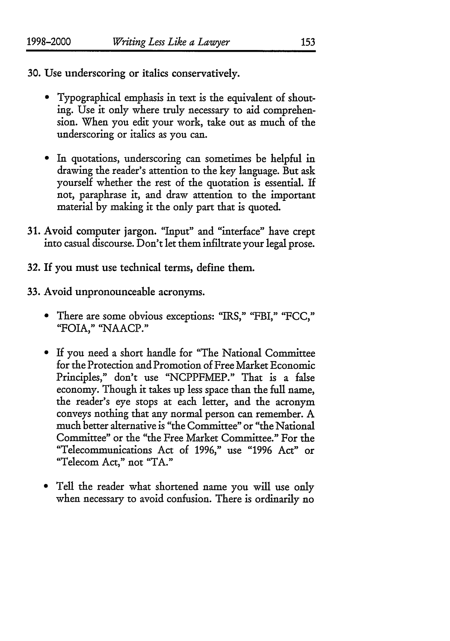**30.** Use underscoring or italics conservatively.

- **"** Typographical emphasis in text is the equivalent of shouting. Use it only where truly necessary to aid comprehension. When you edit your work, take out as much of the underscoring or italics as you can.
- **"** In quotations, underscoring can sometimes be helpful in drawing the reader's attention to the key language. But ask yourself whether the rest of the quotation is essential. If not, paraphrase it, and draw attention to the important material by making it the only part that is quoted.
- 31. Avoid computer jargon. 'Input" and "interface" have crept into casual discourse. Don't let them infiltrate your legal prose.
- 32. If you must use technical terms, define them.
- 33. Avoid unpronounceable acronyms.
	- **"** There are some obvious exceptions: "IRS," "FBI," "FCC," "FOIA," "NAACP."
	- **"** If you need a short handle for "The National Committee for the Protection and Promotion of Free Market Economic Principles," don't use "NCPPFMEP." That is a false economy. Though it takes up less space than the full name, the reader's eye stops at each letter, and the acronym conveys nothing that any normal person can remember. A much better alternative is "the Committee" or "the National Committee" or the "the Free Market Committee." For the "Telecommunications Act of 1996," use "1996 Act" or "Telecom Act," not "TA."
	- \* Tell the reader what shortened name you will use only when necessary to avoid confusion. There is ordinarily no